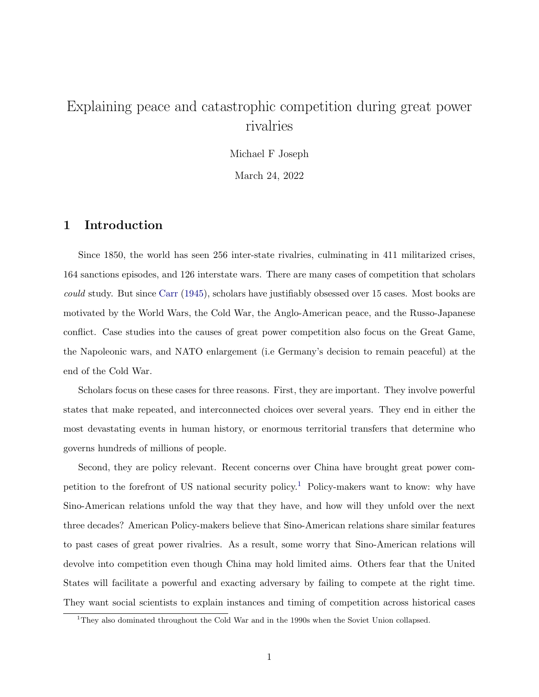# Explaining peace and catastrophic competition during great power rivalries

Michael F Joseph March 24, 2022

1 Introduction

Since 1850, the world has seen 256 inter-state rivalries, culminating in 411 militarized crises, 164 sanctions episodes, and 126 interstate wars. There are many cases of competition that scholars could study. But since [Carr](#page-12-0) [\(1945\)](#page-12-0), scholars have justifiably obsessed over 15 cases. Most books are motivated by the World Wars, the Cold War, the Anglo-American peace, and the Russo-Japanese conflict. Case studies into the causes of great power competition also focus on the Great Game, the Napoleonic wars, and NATO enlargement (i.e Germany's decision to remain peaceful) at the end of the Cold War.

Scholars focus on these cases for three reasons. First, they are important. They involve powerful states that make repeated, and interconnected choices over several years. They end in either the most devastating events in human history, or enormous territorial transfers that determine who governs hundreds of millions of people.

Second, they are policy relevant. Recent concerns over China have brought great power competition to the forefront of US national security policy.[1](#page-0-0) Policy-makers want to know: why have Sino-American relations unfold the way that they have, and how will they unfold over the next three decades? American Policy-makers believe that Sino-American relations share similar features to past cases of great power rivalries. As a result, some worry that Sino-American relations will devolve into competition even though China may hold limited aims. Others fear that the United States will facilitate a powerful and exacting adversary by failing to compete at the right time. They want social scientists to explain instances and timing of competition across historical cases

<span id="page-0-0"></span><sup>&</sup>lt;sup>1</sup>They also dominated throughout the Cold War and in the 1990s when the Soviet Union collapsed.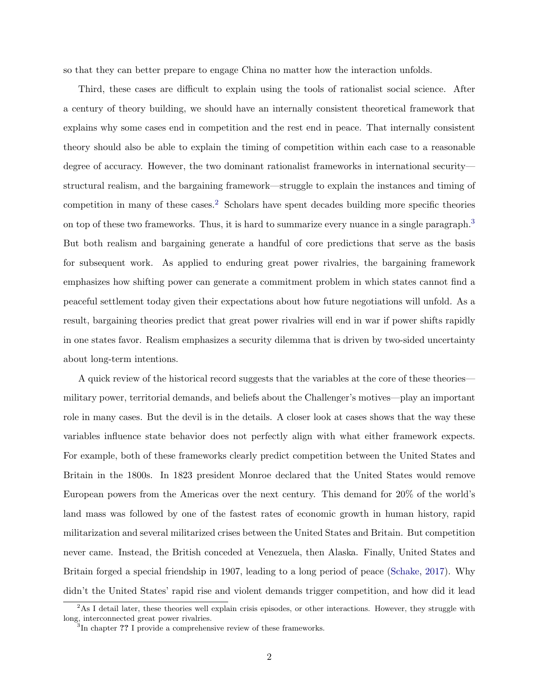so that they can better prepare to engage China no matter how the interaction unfolds.

Third, these cases are difficult to explain using the tools of rationalist social science. After a century of theory building, we should have an internally consistent theoretical framework that explains why some cases end in competition and the rest end in peace. That internally consistent theory should also be able to explain the timing of competition within each case to a reasonable degree of accuracy. However, the two dominant rationalist frameworks in international security structural realism, and the bargaining framework—struggle to explain the instances and timing of competition in many of these cases.[2](#page-1-0) Scholars have spent decades building more specific theories on top of these two frameworks. Thus, it is hard to summarize every nuance in a single paragraph.<sup>[3](#page-1-1)</sup> But both realism and bargaining generate a handful of core predictions that serve as the basis for subsequent work. As applied to enduring great power rivalries, the bargaining framework emphasizes how shifting power can generate a commitment problem in which states cannot find a peaceful settlement today given their expectations about how future negotiations will unfold. As a result, bargaining theories predict that great power rivalries will end in war if power shifts rapidly in one states favor. Realism emphasizes a security dilemma that is driven by two-sided uncertainty about long-term intentions.

A quick review of the historical record suggests that the variables at the core of these theories military power, territorial demands, and beliefs about the Challenger's motives—play an important role in many cases. But the devil is in the details. A closer look at cases shows that the way these variables influence state behavior does not perfectly align with what either framework expects. For example, both of these frameworks clearly predict competition between the United States and Britain in the 1800s. In 1823 president Monroe declared that the United States would remove European powers from the Americas over the next century. This demand for 20% of the world's land mass was followed by one of the fastest rates of economic growth in human history, rapid militarization and several militarized crises between the United States and Britain. But competition never came. Instead, the British conceded at Venezuela, then Alaska. Finally, United States and Britain forged a special friendship in 1907, leading to a long period of peace [\(Schake,](#page-12-1) [2017\)](#page-12-1). Why didn't the United States' rapid rise and violent demands trigger competition, and how did it lead

<span id="page-1-0"></span> $2\text{As I detail later, these theories well explain crisis episodes, or other interactions. However, they struggle with}$ long, interconnected great power rivalries. 3 In chapter ?? I provide a comprehensive review of these frameworks.

<span id="page-1-1"></span>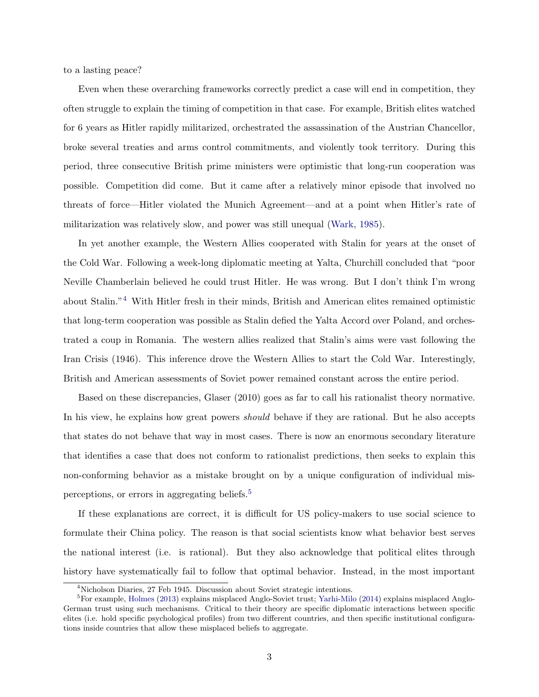to a lasting peace?

Even when these overarching frameworks correctly predict a case will end in competition, they often struggle to explain the timing of competition in that case. For example, British elites watched for 6 years as Hitler rapidly militarized, orchestrated the assassination of the Austrian Chancellor, broke several treaties and arms control commitments, and violently took territory. During this period, three consecutive British prime ministers were optimistic that long-run cooperation was possible. Competition did come. But it came after a relatively minor episode that involved no threats of force—Hitler violated the Munich Agreement—and at a point when Hitler's rate of militarization was relatively slow, and power was still unequal [\(Wark,](#page-12-2) [1985\)](#page-12-2).

In yet another example, the Western Allies cooperated with Stalin for years at the onset of the Cold War. Following a week-long diplomatic meeting at Yalta, Churchill concluded that "poor Neville Chamberlain believed he could trust Hitler. He was wrong. But I don't think I'm wrong about Stalin."[4](#page-2-0) With Hitler fresh in their minds, British and American elites remained optimistic that long-term cooperation was possible as Stalin defied the Yalta Accord over Poland, and orchestrated a coup in Romania. The western allies realized that Stalin's aims were vast following the Iran Crisis (1946). This inference drove the Western Allies to start the Cold War. Interestingly, British and American assessments of Soviet power remained constant across the entire period.

Based on these discrepancies, Glaser (2010) goes as far to call his rationalist theory normative. In his view, he explains how great powers *should* behave if they are rational. But he also accepts that states do not behave that way in most cases. There is now an enormous secondary literature that identifies a case that does not conform to rationalist predictions, then seeks to explain this non-conforming behavior as a mistake brought on by a unique configuration of individual misperceptions, or errors in aggregating beliefs.[5](#page-2-1)

If these explanations are correct, it is difficult for US policy-makers to use social science to formulate their China policy. The reason is that social scientists know what behavior best serves the national interest (i.e. is rational). But they also acknowledge that political elites through history have systematically fail to follow that optimal behavior. Instead, in the most important

<span id="page-2-1"></span><span id="page-2-0"></span><sup>4</sup>Nicholson Diaries, 27 Feb 1945. Discussion about Soviet strategic intentions.

<sup>&</sup>lt;sup>5</sup>For example, [Holmes](#page-12-3) [\(2013\)](#page-12-3) explains misplaced Anglo-Soviet trust; [Yarhi-Milo](#page-12-4) [\(2014\)](#page-12-4) explains misplaced Anglo-German trust using such mechanisms. Critical to their theory are specific diplomatic interactions between specific elites (i.e. hold specific psychological profiles) from two different countries, and then specific institutional configurations inside countries that allow these misplaced beliefs to aggregate.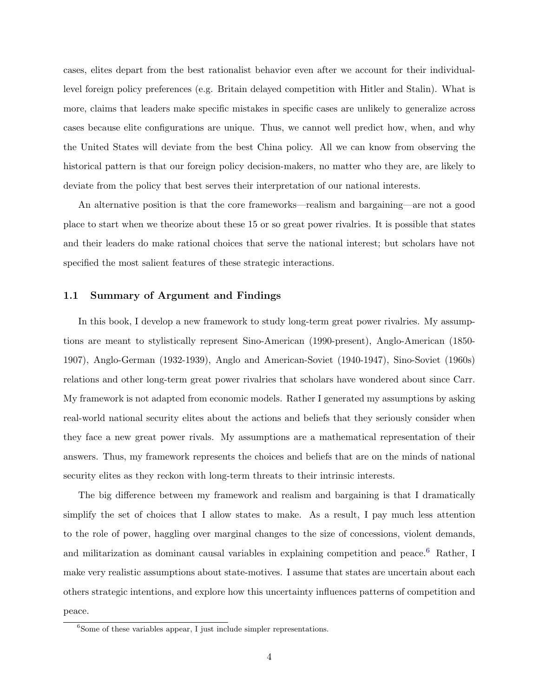cases, elites depart from the best rationalist behavior even after we account for their individuallevel foreign policy preferences (e.g. Britain delayed competition with Hitler and Stalin). What is more, claims that leaders make specific mistakes in specific cases are unlikely to generalize across cases because elite configurations are unique. Thus, we cannot well predict how, when, and why the United States will deviate from the best China policy. All we can know from observing the historical pattern is that our foreign policy decision-makers, no matter who they are, are likely to deviate from the policy that best serves their interpretation of our national interests.

An alternative position is that the core frameworks—realism and bargaining—are not a good place to start when we theorize about these 15 or so great power rivalries. It is possible that states and their leaders do make rational choices that serve the national interest; but scholars have not specified the most salient features of these strategic interactions.

### 1.1 Summary of Argument and Findings

In this book, I develop a new framework to study long-term great power rivalries. My assumptions are meant to stylistically represent Sino-American (1990-present), Anglo-American (1850- 1907), Anglo-German (1932-1939), Anglo and American-Soviet (1940-1947), Sino-Soviet (1960s) relations and other long-term great power rivalries that scholars have wondered about since Carr. My framework is not adapted from economic models. Rather I generated my assumptions by asking real-world national security elites about the actions and beliefs that they seriously consider when they face a new great power rivals. My assumptions are a mathematical representation of their answers. Thus, my framework represents the choices and beliefs that are on the minds of national security elites as they reckon with long-term threats to their intrinsic interests.

The big difference between my framework and realism and bargaining is that I dramatically simplify the set of choices that I allow states to make. As a result, I pay much less attention to the role of power, haggling over marginal changes to the size of concessions, violent demands, and militarization as dominant causal variables in explaining competition and peace.<sup>[6](#page-3-0)</sup> Rather, I make very realistic assumptions about state-motives. I assume that states are uncertain about each others strategic intentions, and explore how this uncertainty influences patterns of competition and peace.

<span id="page-3-0"></span> $6$ Some of these variables appear, I just include simpler representations.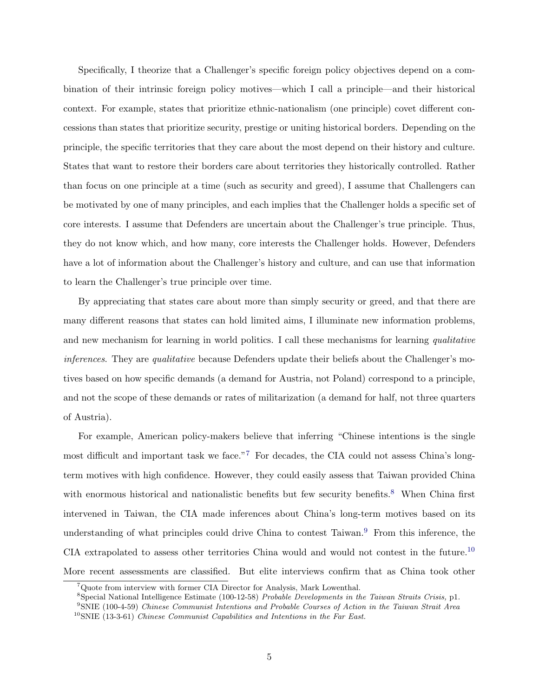Specifically, I theorize that a Challenger's specific foreign policy objectives depend on a combination of their intrinsic foreign policy motives—which I call a principle—and their historical context. For example, states that prioritize ethnic-nationalism (one principle) covet different concessions than states that prioritize security, prestige or uniting historical borders. Depending on the principle, the specific territories that they care about the most depend on their history and culture. States that want to restore their borders care about territories they historically controlled. Rather than focus on one principle at a time (such as security and greed), I assume that Challengers can be motivated by one of many principles, and each implies that the Challenger holds a specific set of core interests. I assume that Defenders are uncertain about the Challenger's true principle. Thus, they do not know which, and how many, core interests the Challenger holds. However, Defenders have a lot of information about the Challenger's history and culture, and can use that information to learn the Challenger's true principle over time.

By appreciating that states care about more than simply security or greed, and that there are many different reasons that states can hold limited aims, I illuminate new information problems, and new mechanism for learning in world politics. I call these mechanisms for learning qualitative inferences. They are qualitative because Defenders update their beliefs about the Challenger's motives based on how specific demands (a demand for Austria, not Poland) correspond to a principle, and not the scope of these demands or rates of militarization (a demand for half, not three quarters of Austria).

For example, American policy-makers believe that inferring "Chinese intentions is the single most difficult and important task we face."[7](#page-4-0) For decades, the CIA could not assess China's longterm motives with high confidence. However, they could easily assess that Taiwan provided China with enormous historical and nationalistic benefits but few security benefits.<sup>[8](#page-4-1)</sup> When China first intervened in Taiwan, the CIA made inferences about China's long-term motives based on its understanding of what principles could drive China to contest Taiwan.<sup>[9](#page-4-2)</sup> From this inference, the CIA extrapolated to assess other territories China would and would not contest in the future.[10](#page-4-3) More recent assessments are classified. But elite interviews confirm that as China took other

<span id="page-4-0"></span><sup>7</sup>Quote from interview with former CIA Director for Analysis, Mark Lowenthal.

<span id="page-4-1"></span><sup>8</sup>Special National Intelligence Estimate (100-12-58) Probable Developments in the Taiwan Straits Crisis, p1.

<span id="page-4-3"></span><span id="page-4-2"></span><sup>9</sup>SNIE (100-4-59) Chinese Communist Intentions and Probable Courses of Action in the Taiwan Strait Area <sup>10</sup>SNIE (13-3-61) Chinese Communist Capabilities and Intentions in the Far East.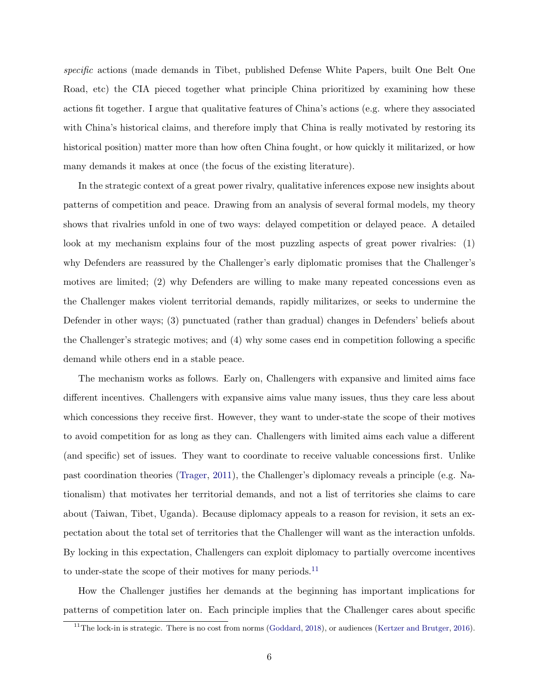specific actions (made demands in Tibet, published Defense White Papers, built One Belt One Road, etc) the CIA pieced together what principle China prioritized by examining how these actions fit together. I argue that qualitative features of China's actions (e.g. where they associated with China's historical claims, and therefore imply that China is really motivated by restoring its historical position) matter more than how often China fought, or how quickly it militarized, or how many demands it makes at once (the focus of the existing literature).

In the strategic context of a great power rivalry, qualitative inferences expose new insights about patterns of competition and peace. Drawing from an analysis of several formal models, my theory shows that rivalries unfold in one of two ways: delayed competition or delayed peace. A detailed look at my mechanism explains four of the most puzzling aspects of great power rivalries: (1) why Defenders are reassured by the Challenger's early diplomatic promises that the Challenger's motives are limited; (2) why Defenders are willing to make many repeated concessions even as the Challenger makes violent territorial demands, rapidly militarizes, or seeks to undermine the Defender in other ways; (3) punctuated (rather than gradual) changes in Defenders' beliefs about the Challenger's strategic motives; and (4) why some cases end in competition following a specific demand while others end in a stable peace.

The mechanism works as follows. Early on, Challengers with expansive and limited aims face different incentives. Challengers with expansive aims value many issues, thus they care less about which concessions they receive first. However, they want to under-state the scope of their motives to avoid competition for as long as they can. Challengers with limited aims each value a different (and specific) set of issues. They want to coordinate to receive valuable concessions first. Unlike past coordination theories [\(Trager,](#page-12-5) [2011\)](#page-12-5), the Challenger's diplomacy reveals a principle (e.g. Nationalism) that motivates her territorial demands, and not a list of territories she claims to care about (Taiwan, Tibet, Uganda). Because diplomacy appeals to a reason for revision, it sets an expectation about the total set of territories that the Challenger will want as the interaction unfolds. By locking in this expectation, Challengers can exploit diplomacy to partially overcome incentives to under-state the scope of their motives for many periods.<sup>[11](#page-5-0)</sup>

How the Challenger justifies her demands at the beginning has important implications for patterns of competition later on. Each principle implies that the Challenger cares about specific

<span id="page-5-0"></span> $11$ The lock-in is strategic. There is no cost from norms [\(Goddard,](#page-12-6) [2018\)](#page-12-6), or audiences [\(Kertzer and Brutger,](#page-12-7) [2016\)](#page-12-7).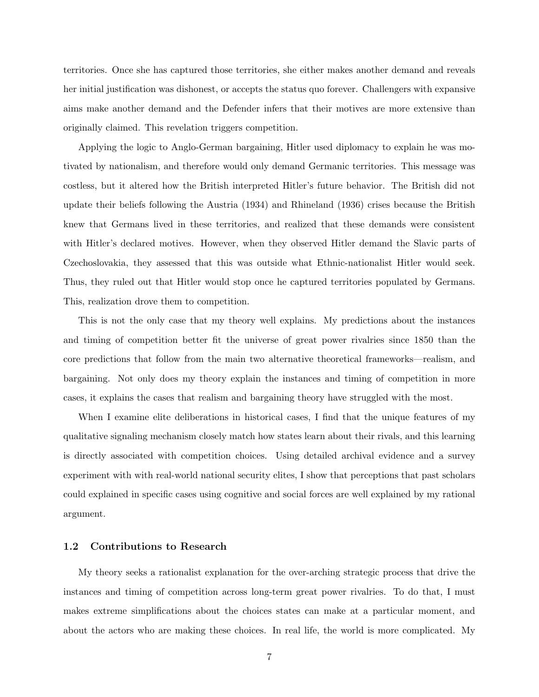territories. Once she has captured those territories, she either makes another demand and reveals her initial justification was dishonest, or accepts the status quo forever. Challengers with expansive aims make another demand and the Defender infers that their motives are more extensive than originally claimed. This revelation triggers competition.

Applying the logic to Anglo-German bargaining, Hitler used diplomacy to explain he was motivated by nationalism, and therefore would only demand Germanic territories. This message was costless, but it altered how the British interpreted Hitler's future behavior. The British did not update their beliefs following the Austria (1934) and Rhineland (1936) crises because the British knew that Germans lived in these territories, and realized that these demands were consistent with Hitler's declared motives. However, when they observed Hitler demand the Slavic parts of Czechoslovakia, they assessed that this was outside what Ethnic-nationalist Hitler would seek. Thus, they ruled out that Hitler would stop once he captured territories populated by Germans. This, realization drove them to competition.

This is not the only case that my theory well explains. My predictions about the instances and timing of competition better fit the universe of great power rivalries since 1850 than the core predictions that follow from the main two alternative theoretical frameworks—realism, and bargaining. Not only does my theory explain the instances and timing of competition in more cases, it explains the cases that realism and bargaining theory have struggled with the most.

When I examine elite deliberations in historical cases, I find that the unique features of my qualitative signaling mechanism closely match how states learn about their rivals, and this learning is directly associated with competition choices. Using detailed archival evidence and a survey experiment with with real-world national security elites, I show that perceptions that past scholars could explained in specific cases using cognitive and social forces are well explained by my rational argument.

### 1.2 Contributions to Research

My theory seeks a rationalist explanation for the over-arching strategic process that drive the instances and timing of competition across long-term great power rivalries. To do that, I must makes extreme simplifications about the choices states can make at a particular moment, and about the actors who are making these choices. In real life, the world is more complicated. My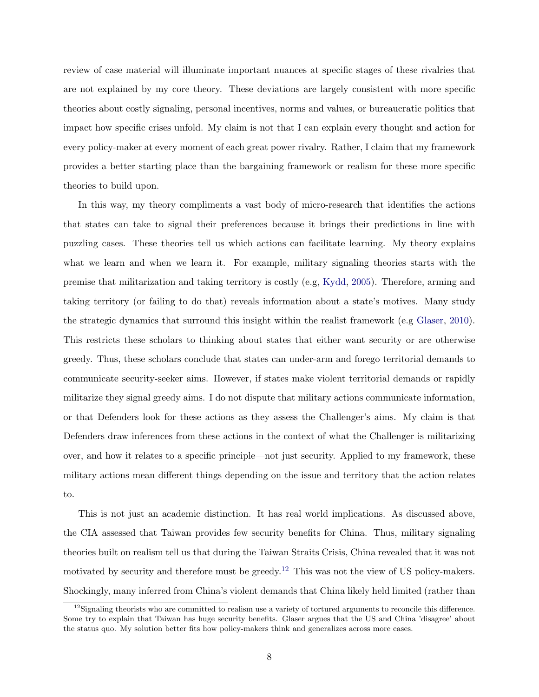review of case material will illuminate important nuances at specific stages of these rivalries that are not explained by my core theory. These deviations are largely consistent with more specific theories about costly signaling, personal incentives, norms and values, or bureaucratic politics that impact how specific crises unfold. My claim is not that I can explain every thought and action for every policy-maker at every moment of each great power rivalry. Rather, I claim that my framework provides a better starting place than the bargaining framework or realism for these more specific theories to build upon.

In this way, my theory compliments a vast body of micro-research that identifies the actions that states can take to signal their preferences because it brings their predictions in line with puzzling cases. These theories tell us which actions can facilitate learning. My theory explains what we learn and when we learn it. For example, military signaling theories starts with the premise that militarization and taking territory is costly (e.g, [Kydd,](#page-12-8) [2005\)](#page-12-8). Therefore, arming and taking territory (or failing to do that) reveals information about a state's motives. Many study the strategic dynamics that surround this insight within the realist framework (e.g [Glaser,](#page-12-9) [2010\)](#page-12-9). This restricts these scholars to thinking about states that either want security or are otherwise greedy. Thus, these scholars conclude that states can under-arm and forego territorial demands to communicate security-seeker aims. However, if states make violent territorial demands or rapidly militarize they signal greedy aims. I do not dispute that military actions communicate information, or that Defenders look for these actions as they assess the Challenger's aims. My claim is that Defenders draw inferences from these actions in the context of what the Challenger is militarizing over, and how it relates to a specific principle—not just security. Applied to my framework, these military actions mean different things depending on the issue and territory that the action relates to.

This is not just an academic distinction. It has real world implications. As discussed above, the CIA assessed that Taiwan provides few security benefits for China. Thus, military signaling theories built on realism tell us that during the Taiwan Straits Crisis, China revealed that it was not motivated by security and therefore must be greedy.<sup>[12](#page-7-0)</sup> This was not the view of US policy-makers. Shockingly, many inferred from China's violent demands that China likely held limited (rather than

<span id="page-7-0"></span> $12$  Signaling theorists who are committed to realism use a variety of tortured arguments to reconcile this difference. Some try to explain that Taiwan has huge security benefits. Glaser argues that the US and China 'disagree' about the status quo. My solution better fits how policy-makers think and generalizes across more cases.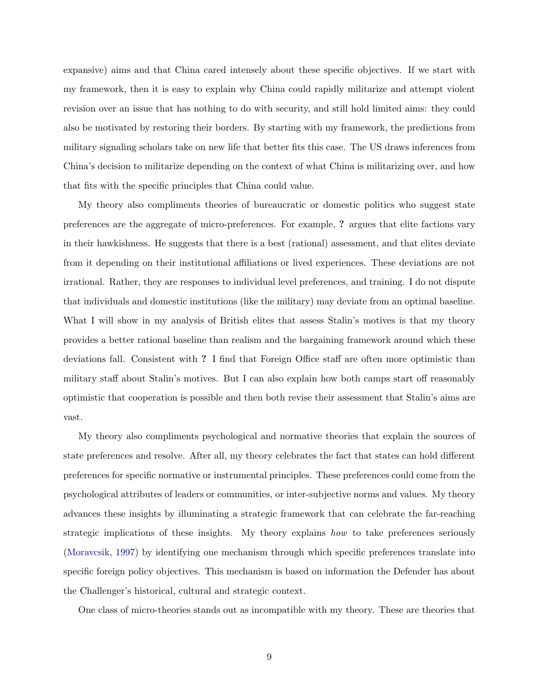expansive) aims and that China cared intensely about these specific objectives. If we start with my framework, then it is easy to explain why China could rapidly militarize and attempt violent revision over an issue that has nothing to do with security, and still hold limited aims: they could also be motivated by restoring their borders. By starting with my framework, the predictions from military signaling scholars take on new life that better fits this case. The US draws inferences from China's decision to militarize depending on the context of what China is militarizing over, and how that fits with the specific principles that China could value.

My theory also compliments theories of bureaucratic or domestic politics who suggest state preferences are the aggregate of micro-preferences. For example, ? argues that elite factions vary in their hawkishness. He suggests that there is a best (rational) assessment, and that elites deviate from it depending on their institutional affiliations or lived experiences. These deviations are not irrational. Rather, they are responses to individual level preferences, and training. I do not dispute that individuals and domestic institutions (like the military) may deviate from an optimal baseline. What I will show in my analysis of British elites that assess Stalin's motives is that my theory provides a better rational baseline than realism and the bargaining framework around which these deviations fall. Consistent with ? I find that Foreign Office staff are often more optimistic than military staff about Stalin's motives. But I can also explain how both camps start off reasonably optimistic that cooperation is possible and then both revise their assessment that Stalin's aims are vast.

My theory also compliments psychological and normative theories that explain the sources of state preferences and resolve. After all, my theory celebrates the fact that states can hold different preferences for specific normative or instrumental principles. These preferences could come from the psychological attributes of leaders or communities, or inter-subjective norms and values. My theory advances these insights by illuminating a strategic framework that can celebrate the far-reaching strategic implications of these insights. My theory explains how to take preferences seriously [\(Moravcsik,](#page-12-10) [1997\)](#page-12-10) by identifying one mechanism through which specific preferences translate into specific foreign policy objectives. This mechanism is based on information the Defender has about the Challenger's historical, cultural and strategic context.

One class of micro-theories stands out as incompatible with my theory. These are theories that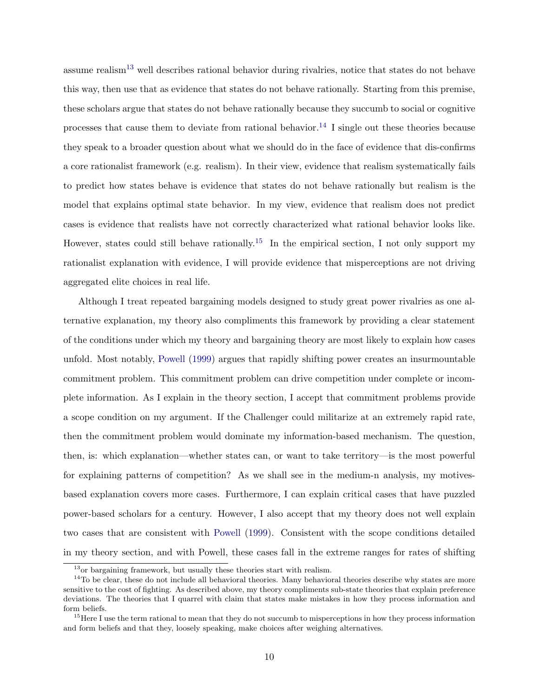assume realism[13](#page-9-0) well describes rational behavior during rivalries, notice that states do not behave this way, then use that as evidence that states do not behave rationally. Starting from this premise, these scholars argue that states do not behave rationally because they succumb to social or cognitive processes that cause them to deviate from rational behavior.<sup>[14](#page-9-1)</sup> I single out these theories because they speak to a broader question about what we should do in the face of evidence that dis-confirms a core rationalist framework (e.g. realism). In their view, evidence that realism systematically fails to predict how states behave is evidence that states do not behave rationally but realism is the model that explains optimal state behavior. In my view, evidence that realism does not predict cases is evidence that realists have not correctly characterized what rational behavior looks like. However, states could still behave rationally.<sup>[15](#page-9-2)</sup> In the empirical section, I not only support my rationalist explanation with evidence, I will provide evidence that misperceptions are not driving aggregated elite choices in real life.

Although I treat repeated bargaining models designed to study great power rivalries as one alternative explanation, my theory also compliments this framework by providing a clear statement of the conditions under which my theory and bargaining theory are most likely to explain how cases unfold. Most notably, [Powell](#page-12-11) [\(1999\)](#page-12-11) argues that rapidly shifting power creates an insurmountable commitment problem. This commitment problem can drive competition under complete or incomplete information. As I explain in the theory section, I accept that commitment problems provide a scope condition on my argument. If the Challenger could militarize at an extremely rapid rate, then the commitment problem would dominate my information-based mechanism. The question, then, is: which explanation—whether states can, or want to take territory—is the most powerful for explaining patterns of competition? As we shall see in the medium-n analysis, my motivesbased explanation covers more cases. Furthermore, I can explain critical cases that have puzzled power-based scholars for a century. However, I also accept that my theory does not well explain two cases that are consistent with [Powell](#page-12-11) [\(1999\)](#page-12-11). Consistent with the scope conditions detailed in my theory section, and with Powell, these cases fall in the extreme ranges for rates of shifting

<span id="page-9-1"></span><span id="page-9-0"></span><sup>&</sup>lt;sup>13</sup>or bargaining framework, but usually these theories start with realism.

 $14$ To be clear, these do not include all behavioral theories. Many behavioral theories describe why states are more sensitive to the cost of fighting. As described above, my theory compliments sub-state theories that explain preference deviations. The theories that I quarrel with claim that states make mistakes in how they process information and form beliefs.

<span id="page-9-2"></span><sup>&</sup>lt;sup>15</sup>Here I use the term rational to mean that they do not succumb to misperceptions in how they process information and form beliefs and that they, loosely speaking, make choices after weighing alternatives.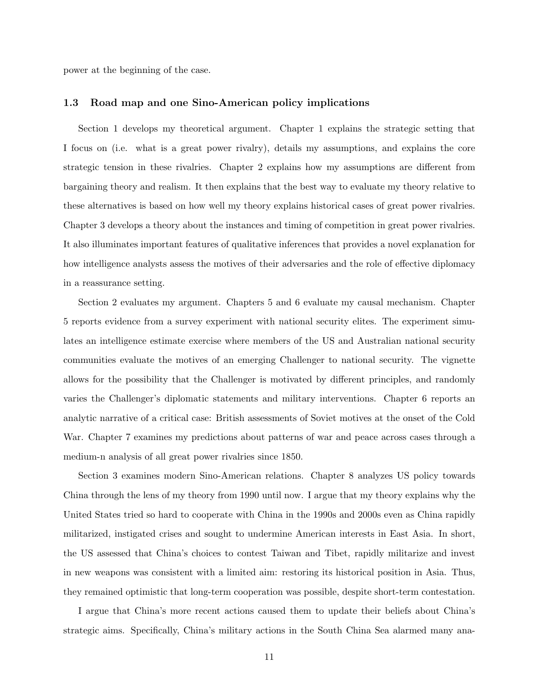power at the beginning of the case.

#### 1.3 Road map and one Sino-American policy implications

Section 1 develops my theoretical argument. Chapter 1 explains the strategic setting that I focus on (i.e. what is a great power rivalry), details my assumptions, and explains the core strategic tension in these rivalries. Chapter 2 explains how my assumptions are different from bargaining theory and realism. It then explains that the best way to evaluate my theory relative to these alternatives is based on how well my theory explains historical cases of great power rivalries. Chapter 3 develops a theory about the instances and timing of competition in great power rivalries. It also illuminates important features of qualitative inferences that provides a novel explanation for how intelligence analysts assess the motives of their adversaries and the role of effective diplomacy in a reassurance setting.

Section 2 evaluates my argument. Chapters 5 and 6 evaluate my causal mechanism. Chapter 5 reports evidence from a survey experiment with national security elites. The experiment simulates an intelligence estimate exercise where members of the US and Australian national security communities evaluate the motives of an emerging Challenger to national security. The vignette allows for the possibility that the Challenger is motivated by different principles, and randomly varies the Challenger's diplomatic statements and military interventions. Chapter 6 reports an analytic narrative of a critical case: British assessments of Soviet motives at the onset of the Cold War. Chapter 7 examines my predictions about patterns of war and peace across cases through a medium-n analysis of all great power rivalries since 1850.

Section 3 examines modern Sino-American relations. Chapter 8 analyzes US policy towards China through the lens of my theory from 1990 until now. I argue that my theory explains why the United States tried so hard to cooperate with China in the 1990s and 2000s even as China rapidly militarized, instigated crises and sought to undermine American interests in East Asia. In short, the US assessed that China's choices to contest Taiwan and Tibet, rapidly militarize and invest in new weapons was consistent with a limited aim: restoring its historical position in Asia. Thus, they remained optimistic that long-term cooperation was possible, despite short-term contestation.

I argue that China's more recent actions caused them to update their beliefs about China's strategic aims. Specifically, China's military actions in the South China Sea alarmed many ana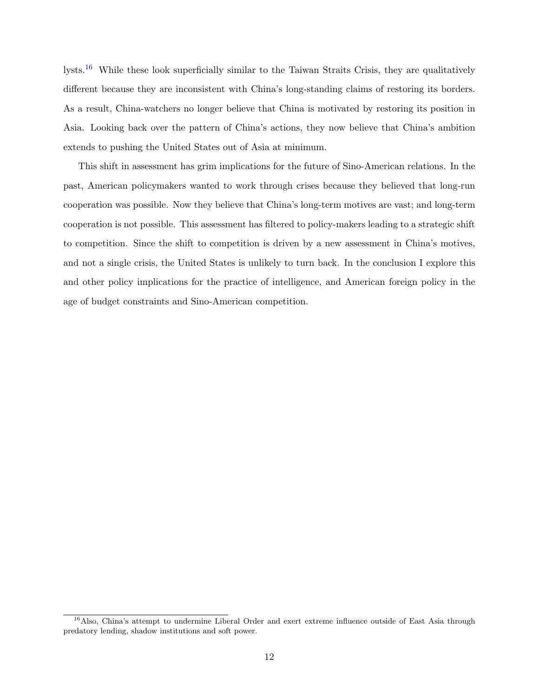lysts.[16](#page-11-0) While these look superficially similar to the Taiwan Straits Crisis, they are qualitatively different because they are inconsistent with China's long-standing claims of restoring its borders. As a result, China-watchers no longer believe that China is motivated by restoring its position in Asia. Looking back over the pattern of China's actions, they now believe that China's ambition extends to pushing the United States out of Asia at minimum.

This shift in assessment has grim implications for the future of Sino-American relations. In the past, American policymakers wanted to work through crises because they believed that long-run cooperation was possible. Now they believe that China's long-term motives are vast; and long-term cooperation is not possible. This assessment has filtered to policy-makers leading to a strategic shift to competition. Since the shift to competition is driven by a new assessment in China's motives, and not a single crisis, the United States is unlikely to turn back. In the conclusion I explore this and other policy implications for the practice of intelligence, and American foreign policy in the age of budget constraints and Sino-American competition.

<span id="page-11-0"></span><sup>&</sup>lt;sup>16</sup>Also, China's attempt to undermine Liberal Order and exert extreme influence outside of East Asia through predatory lending, shadow institutions and soft power.